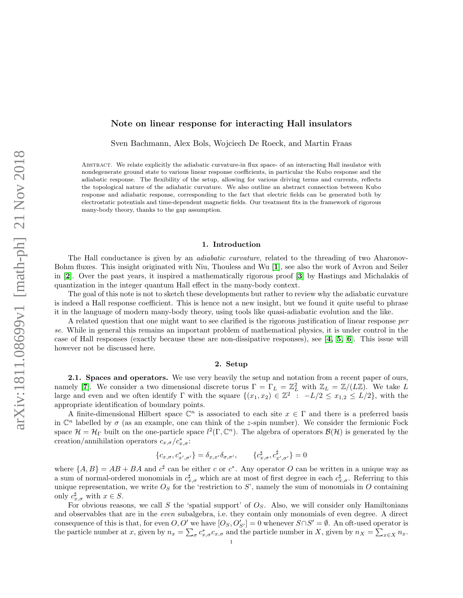# Note on linear response for interacting Hall insulators

Sven Bachmann, Alex Bols, Wojciech De Roeck, and Martin Fraas

Abstract. We relate explicitly the adiabatic curvature-in flux space- of an interacting Hall insulator with nondegenerate ground state to various linear response coefficients, in particular the Kubo response and the adiabatic response. The flexibility of the setup, allowing for various driving terms and currents, reflects the topological nature of the adiabatic curvature. We also outline an abstract connection between Kubo response and adiabatic response, corresponding to the fact that electric fields can be generated both by electrostatic potentials and time-dependent magnetic fields. Our treatment fits in the framework of rigorous many-body theory, thanks to the gap assumption.

### 1. Introduction

The Hall conductance is given by an *adiabatic curvature*, related to the threading of two Aharonov-Bohm fluxes. This insight originated with Niu, Thouless and Wu [[1](#page-13-0)], see also the work of Avron and Seiler in [[2](#page-13-1)]. Over the past years, it inspired a mathematically rigorous proof [[3](#page-13-2)] by Hastings and Michalakis of quantization in the integer quantum Hall effect in the many-body context.

The goal of this note is not to sketch these developments but rather to review why the adiabatic curvature is indeed a Hall response coefficient. This is hence not a new insight, but we found it quite useful to phrase it in the language of modern many-body theory, using tools like quasi-adiabatic evolution and the like.

A related question that one might want to see clarified is the rigorous justification of linear response per se. While in general this remains an important problem of mathematical physics, it is under control in the case of Hall responses (exactly because these are non-dissipative responses), see [[4,](#page-13-3) [5,](#page-13-4) [6](#page-13-5)]. This issue will however not be discussed here.

#### 2. Setup

<span id="page-0-0"></span>2.1. Spaces and operators. We use very heavily the setup and notation from a recent paper of ours, namely [[7](#page-13-6)]. We consider a two dimensional discrete torus  $\Gamma = \Gamma_L = \mathbb{Z}_L^2$  with  $\mathbb{Z}_L = \mathbb{Z}/(L\mathbb{Z})$ . We take L large and even and we often identify  $\Gamma$  with the square  $\{(x_1, x_2) \in \mathbb{Z}^2 : -L/2 \leq x_{1,2} \leq L/2\}$ , with the appropriate identification of boundary points.

A finite-dimensional Hilbert space  $\mathbb{C}^n$  is associated to each site  $x \in \Gamma$  and there is a preferred basis in  $\mathbb{C}^n$  labelled by  $\sigma$  (as an example, one can think of the z-spin number). We consider the fermionic Fock space  $\mathcal{H} = \mathcal{H}_{\Gamma}$  built on the one-particle space  $l^2(\Gamma, \mathbb{C}^n)$ . The algebra of operators  $\mathcal{B}(\mathcal{H})$  is generated by the creation/annihilation operators  $c_{x,\sigma}/c_{x,\sigma}^*$ :

$$
\{c_{x,\sigma}, c_{x',\sigma'}^*\} = \delta_{x,x'}\delta_{\sigma,\sigma'}, \qquad \{c_{x,\sigma}^\sharp, c_{x',\sigma'}^\sharp\} = 0
$$

where  $\{A, B\} = AB + BA$  and  $c^{\sharp}$  can be either c or  $c^*$ . Any operator O can be written in a unique way as a sum of normal-ordered monomials in  $c_{x,\sigma}^{\sharp}$  which are at most of first degree in each  $c_{x,\sigma}^{\sharp}$ . Referring to this unique representation, we write  $O<sub>S</sub>$  for the 'restriction to S', namely the sum of monomials in O containing only  $c_{x,\sigma}^{\sharp}$  with  $x \in S$ .

For obvious reasons, we call S the 'spatial support' of  $O<sub>S</sub>$ . Also, we will consider only Hamiltonians and observables that are in the even subalgebra, i.e. they contain only monomials of even degree. A direct consequence of this is that, for even  $O, O'$  we have  $[O<sub>S</sub>, O'<sub>S'</sub>] = 0$  whenever  $S \cap S' = \emptyset$ . An oft-used operator is the particle number at x, given by  $n_x = \sum_{\sigma} c_{x,\sigma}^* c_{x,\sigma}$  and the particle number in X, given by  $n_x = \sum_{x \in X} n_x$ .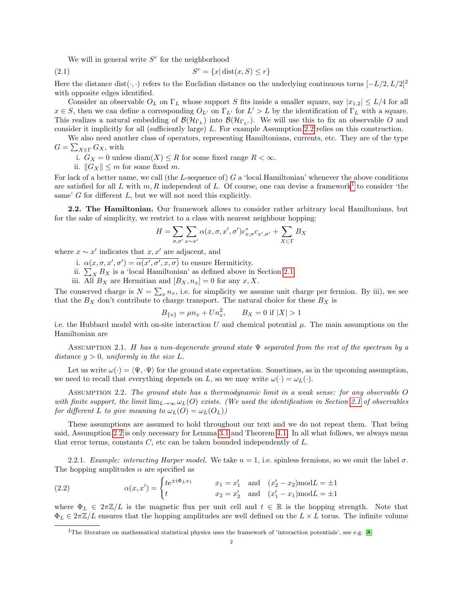<span id="page-1-4"></span>We will in general write  $S<sup>r</sup>$  for the neighborhood

 $(2.1)$   $S$  $S^r = \{x | \text{dist}(x, S) \leq r\}$ 

Here the distance dist( $\cdot$ , ·) refers to the Euclidian distance on the underlying continuous torus  $[-L/2, L/2]^2$ with opposite edges identified.

Consider an observable  $O_L$  on  $\Gamma_L$  whose support S fits inside a smaller square, say  $|x_{1,2}| \leq L/4$  for all  $x \in S$ , then we can define a corresponding  $O_{L'}$  on  $\Gamma_{L'}$  for  $L' > L$  by the identification of  $\Gamma_L$  with a square. This realizes a natural embedding of  $\mathcal{B}(\mathcal{H}_{\Gamma_L})$  into  $\mathcal{B}(\mathcal{H}_{\Gamma_{L'}})$ . We will use this to fix an observable O and consider it implicitly for all (sufficiently large) L. For example Assumption [2.2](#page-1-0) relies on this construction.

We also need another class of operators, representing Hamiltonians, currents, etc. They are of the type  $G = \sum_{X \in \Gamma} G_X$ , with

i.  $G_X = 0$  unless  $\text{diam}(X) \leq R$  for some fixed range  $R < \infty$ .

ii.  $||G_X|| \leq m$  for some fixed m.

For lack of a better name, we call (the L-sequence of) G a 'local Hamiltonian' whenever the above conditions are satisfied for all L with  $m, R$  independent of L. Of course, one can devise a framework<sup>[1](#page-1-1)</sup> to consider 'the same'  $G$  for different  $L$ , but we will not need this explicitly.

2.2. The Hamiltonian. Our framework allows to consider rather arbitrary local Hamiltonians, but for the sake of simplicity, we restrict to a class with nearest neighbour hopping:

$$
H = \sum_{\sigma,\sigma'} \sum_{x \sim x'} \alpha(x,\sigma,x',\sigma') c_{x,\sigma}^* c_{x',\sigma'} + \sum_{X \subset \Gamma} B_X
$$

where  $x \sim x'$  indicates that  $x, x'$  are adjacent, and

- i.  $\alpha(x, \sigma, x', \sigma') = \overline{\alpha(x', \sigma', x, \sigma)}$  to ensure Hermiticity.
- ii.  $\sum_{X} B_X$  is a 'local Hamiltonian' as defined above in Section [2.1.](#page-0-0)
- iii. All  $B_X$  are Hermitian and  $[B_X, n_x] = 0$  for any  $x, X$ .

The conserved charge is  $N = \sum_{x} n_x$ , i.e. for simplicity we assume unit charge per fermion. By iii), we see that the  $B_X$  don't contribute to charge transport. The natural choice for these  $B_X$  is

$$
B_{\{x\}} = \mu n_x + U n_x^2, \qquad B_X = 0 \text{ if } |X| > 1
$$

i.e. the Hubbard model with on-site interaction U and chemical potential  $\mu$ . The main assumptions on the Hamiltonian are

<span id="page-1-2"></span>ASSUMPTION 2.1. H has a non-degenerate ground state  $\Psi$  separated from the rest of the spectrum by a distance  $q > 0$ , uniformly in the size L.

Let us write  $\omega(\cdot) = \langle \Psi, \Psi \rangle$  for the ground state expectation. Sometimes, as in the upcoming assumption, we need to recall that everything depends on L, so we may write  $\omega(\cdot) = \omega_L(\cdot)$ .

<span id="page-1-0"></span>Assumption 2.2. The ground state has a thermodynamic limit in a weak sense: for any observable O with finite support, the limit  $\lim_{L\to\infty} \omega_L(O)$  exists. (We used the identification in Section [2.1](#page-0-0) of observables for different L to give meaning to  $\omega_L(O) = \omega_L(O_L)$ )

These assumptions are assumed to hold throughout our text and we do not repeat them. That being said, Assumption [2.2](#page-1-0) is only necessary for Lemma [3.1](#page-4-0) and Theorem [4.1.](#page-6-0) In all what follows, we always mean that error terms, constants  $C$ , etc can be taken bounded independently of  $L$ .

2.2.1. Example: interacting Harper model. We take  $n = 1$ , i.e. spinless fermions, so we omit the label  $\sigma$ . The hopping amplitudes  $\alpha$  are specified as

<span id="page-1-3"></span>(2.2) 
$$
\alpha(x, x') = \begin{cases} te^{\pm i\Phi_L x_1} & x_1 = x'_1 \text{ and } (x'_2 - x_2) \text{mod} L = \pm 1 \\ t & x_2 = x'_2 \text{ and } (x'_1 - x_1) \text{mod} L = \pm 1 \end{cases}
$$

where  $\Phi_L \in 2\pi \mathbb{Z}/L$  is the magnetic flux per unit cell and  $t \in \mathbb{R}$  is the hopping strength. Note that  $\Phi_L \in 2\pi \mathbb{Z}/L$  ensures that the hopping amplitudes are well defined on the  $L \times L$  torus. The infinite volume

<span id="page-1-1"></span><sup>&</sup>lt;sup>1</sup>The literature on mathematical statistical physics uses the framework of 'interaction potentials', see e.g. [[8](#page-13-7)]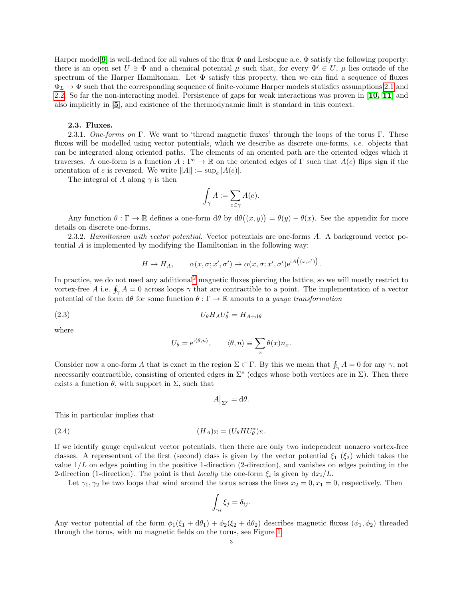Harper model<sup>[[9](#page-13-8)]</sup> is well-defined for all values of the flux  $\Phi$  and Lesbegue a.e.  $\Phi$  satisfy the following property: there is an open set  $U \ni \Phi$  and a chemical potential  $\mu$  such that, for every  $\Phi' \in U$ ,  $\mu$  lies outside of the spectrum of the Harper Hamiltonian. Let  $\Phi$  satisfy this property, then we can find a sequence of fluxes  $\Phi_L \to \Phi$  such that the corresponding sequence of finite-volume Harper models statisfies assumptions [2.1](#page-1-2) and [2.2.](#page-1-0) So far the non-interacting model. Persistence of gaps for weak interactions was proven in [[10,](#page-13-9) [11](#page-13-10)] and also implicitly in [[5](#page-13-4)], and existence of the thermodynamic limit is standard in this context.

#### 2.3. Fluxes.

<span id="page-2-0"></span>2.3.1. One-forms on Γ. We want to 'thread magnetic fluxes' through the loops of the torus Γ. These fluxes will be modelled using vector potentials, which we describe as discrete one-forms, *i.e.* objects that can be integrated along oriented paths. The elements of an oriented path are the oriented edges which it traverses. A one-form is a function  $A: \Gamma^e \to \mathbb{R}$  on the oriented edges of  $\Gamma$  such that  $A(e)$  flips sign if the orientation of e is reversed. We write  $||A|| := \sup_e |A(e)|$ .

The integral of A along  $\gamma$  is then

$$
\int_{\gamma} A := \sum_{e \in \gamma} A(e).
$$

Any function  $\theta : \Gamma \to \mathbb{R}$  defines a one-form  $d\theta$  by  $d\theta((x, y)) = \theta(y) - \theta(x)$ . See the appendix for more details on discrete one-forms.

2.3.2. Hamiltonian with vector potential. Vector potentials are one-forms A. A background vector potential A is implemented by modifying the Hamiltonian in the following way:

$$
H \to H_A
$$
,  $\alpha(x, \sigma; x', \sigma') \to \alpha(x, \sigma; x', \sigma') e^{iA((x, x'))}$ 

.

In practice, we do not need any additional<sup>[2](#page-3-0)</sup> magnetic fluxes piercing the lattice, so we will mostly restrict to vortex-free A i.e.  $\oint_{\gamma} A = 0$  across loops  $\gamma$  that are contractible to a point. The implementation of a vector potential of the form  $d\theta$  for some function  $\theta : \Gamma \to \mathbb{R}$  amouts to a *gauge transformation* 

$$
(2.3) \tU_{\theta}H_A U_{\theta}^* = H_{A+\mathrm{d}\theta}
$$

where

<span id="page-2-1"></span>
$$
U_{\theta} = e^{i \langle \theta, n \rangle}, \qquad \langle \theta, n \rangle \equiv \sum_{x} \theta(x) n_x.
$$

Consider now a one-form A that is exact in the region  $\Sigma \subset \Gamma$ . By this we mean that  $\oint_{\gamma} A = 0$  for any  $\gamma$ , not necessarily contractible, consisting of oriented edges in  $\Sigma^e$  (edges whose both vertices are in  $\Sigma$ ). Then there exists a function  $\theta$ , with support in  $\Sigma$ , such that

<span id="page-2-2"></span>
$$
A\big|_{\Sigma^e} = \mathrm{d}\theta.
$$

This in particular implies that

(2.4) (HA)<sup>Σ</sup> = (UθHU<sup>∗</sup> θ )Σ.

If we identify gauge equivalent vector potentials, then there are only two independent nonzero vortex-free classes. A representant of the first (second) class is given by the vector potential  $\xi_1$  ( $\xi_2$ ) which takes the value  $1/L$  on edges pointing in the positive 1-direction (2-direction), and vanishes on edges pointing in the 2-direction (1-direction). The point is that *locally* the one-form  $\xi_i$  is given by  $dx_i/L$ .

Let  $\gamma_1, \gamma_2$  be two loops that wind around the torus across the lines  $x_2 = 0, x_1 = 0$ , respectively. Then

$$
\int_{\gamma_i} \xi_j = \delta_{ij}.
$$

Any vector potential of the form  $\phi_1(\xi_1 + d\theta_1) + \phi_2(\xi_2 + d\theta_2)$  describes magnetic fluxes  $(\phi_1, \phi_2)$  threaded through the torus, with no magnetic fields on the torus, see Figure [1](#page-3-1)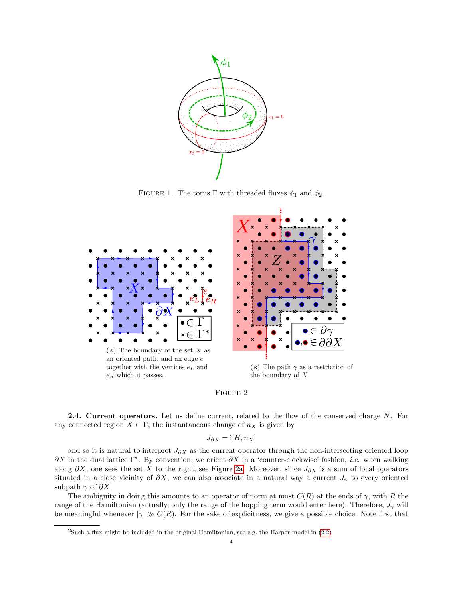<span id="page-3-1"></span>

FIGURE 1. The torus  $\Gamma$  with threaded fluxes  $\phi_1$  and  $\phi_2$ .

<span id="page-3-2"></span>



<span id="page-3-3"></span>**2.4. Current operators.** Let us define current, related to the flow of the conserved charge N. For any connected region  $X \subset \Gamma$ , the instantaneous change of  $n_X$  is given by

$$
J_{\partial X} = \mathrm{i}[H, n_X]
$$

and so it is natural to interpret  $J_{\partial X}$  as the current operator through the non-intersecting oriented loop  $\partial X$  in the dual lattice  $\Gamma^*$ . By convention, we orient  $\partial X$  in a 'counter-clockwise' fashion, *i.e.* when walking along  $\partial X$ , one sees the set X to the right, see Figure [2a.](#page-3-2) Moreover, since  $J_{\partial X}$  is a sum of local operators situated in a close vicinity of  $\partial X$ , we can also associate in a natural way a current  $J_{\gamma}$  to every oriented subpath  $\gamma$  of  $\partial X$ .

The ambiguity in doing this amounts to an operator of norm at most  $C(R)$  at the ends of  $\gamma$ , with R the range of the Hamiltonian (actually, only the range of the hopping term would enter here). Therefore,  $J_{\gamma}$  will be meaningful whenever  $|\gamma| \gg C(R)$ . For the sake of explicitness, we give a possible choice. Note first that

<span id="page-3-0"></span><sup>&</sup>lt;sup>2</sup>Such a flux might be included in the original Hamiltonian, see e.g. the Harper model in  $(2.2)$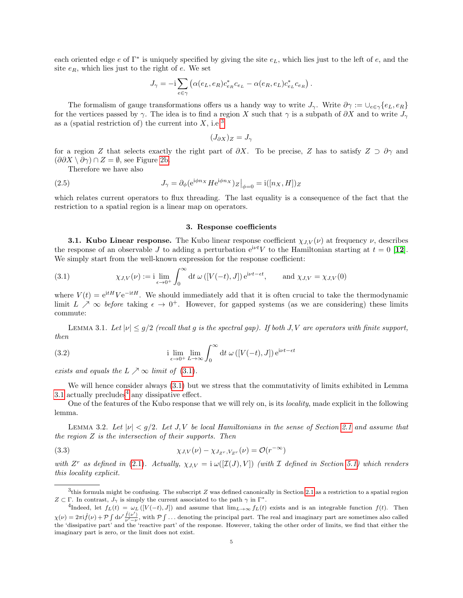each oriented edge  $e$  of  $\Gamma^*$  is uniquely specified by giving the site  $e_L$ , which lies just to the left of  $e$ , and the site  $e_R$ , which lies just to the right of  $e$ . We set

$$
J_{\gamma} = -\mathrm{i} \sum_{e \in \gamma} \left( \alpha(e_L, e_R) c_{e_R}^* c_{e_L} - \alpha(e_R, e_L) c_{e_L}^* c_{e_R} \right).
$$

The formalism of gauge transformations offers us a handy way to write  $J_{\gamma}$ . Write  $\partial \gamma := \bigcup_{e \in \gamma} \{e_L, e_R\}$ for the vertices passed by  $\gamma$ . The idea is to find a region X such that  $\gamma$  is a subpath of  $\partial X$  and to write  $J_{\gamma}$ as a (spatial restriction of) the current into  $X$ , i.e.<sup>[3](#page-4-1)</sup>

$$
(J_{\partial X})_Z = J_\gamma
$$

for a region Z that selects exactly the right part of  $\partial X$ . To be precise, Z has to satisfy  $Z \supset \partial \gamma$  and  $(\partial \partial X \setminus \partial \gamma) \cap Z = \emptyset$ , see Figure [2b.](#page-3-2)

Therefore we have also

(2.5) 
$$
J_{\gamma} = \partial_{\phi} (e^{i\phi n_X} H e^{i\phi n_X})_Z \big|_{\phi=0} = i([n_X, H])_Z
$$

which relates current operators to flux threading. The last equality is a consequence of the fact that the restriction to a spatial region is a linear map on operators.

#### <span id="page-4-5"></span>3. Response coefficients

<span id="page-4-4"></span>**3.1. Kubo Linear response.** The Kubo linear response coefficient  $\chi_{J,V}(\nu)$  at frequency  $\nu$ , describes the response of an observable J to adding a perturbation  $e^{i\nu t}V$  to the Hamiltonian starting at  $t = 0$  [[12](#page-13-11)]. We simply start from the well-known expression for the response coefficient:

<span id="page-4-2"></span>(3.1) 
$$
\chi_{J,V}(\nu) := \mathbf{i} \lim_{\epsilon \to 0^+} \int_0^\infty dt \, \omega([V(-t), J]) e^{\mathbf{i}\nu t - \epsilon t}, \quad \text{and } \chi_{J,V} = \chi_{J,V}(0)
$$

where  $V(t) = e^{itH} V e^{-itH}$ . We should immediately add that it is often crucial to take the thermodynamic limit  $L \nearrow \infty$  before taking  $\epsilon \to 0^+$ . However, for gapped systems (as we are considering) these limits commute:

<span id="page-4-0"></span>LEMMA 3.1. Let  $|\nu| \leq g/2$  (recall that g is the spectral gap). If both J, V are operators with finite support, then

<span id="page-4-6"></span>(3.2) 
$$
\lim_{\epsilon \to 0^+} \lim_{L \to \infty} \int_0^\infty dt \, \omega \left( [V(-t), J] \right) e^{i\nu t - \epsilon t}
$$

exists and equals the  $L \nearrow \infty$  limit of [\(3.1\)](#page-4-2).

We will hence consider always [\(3.1\)](#page-4-2) but we stress that the commutativity of limits exhibited in Lemma [3.1](#page-4-0) actually precludes<sup>[4](#page-4-3)</sup> any dissipative effect.

One of the features of the Kubo response that we will rely on, is its locality, made explicit in the following lemma.

<span id="page-4-7"></span>LEMMA 3.2. Let  $|\nu| < g/2$ . Let J, V be local Hamiltonians in the sense of Section [2.1](#page-0-0) and assume that the region  $Z$  is the intersection of their supports. Then

(3.3) 
$$
\chi_{J,V}(\nu) - \chi_{J_{Z^r},V_{Z^r}}(\nu) = \mathcal{O}(r^{-\infty})
$$

with  $Z^r$  as defined in [\(2.1\)](#page-1-4). Actually,  $\chi_{J,V} = i \omega([I(J),V])$  (with I defined in Section [5.1\)](#page-8-0) which renders this locality explicit.

<span id="page-4-1"></span><sup>&</sup>lt;sup>3</sup>this formula might be confusing. The subscript Z was defined canonically in Section [2.1](#page-0-0) as a restriction to a spatial region  $Z \subset \Gamma$ . In contrast,  $J_{\gamma}$  is simply the current associated to the path  $\gamma$  in  $\Gamma^*$ .

<span id="page-4-3"></span><sup>&</sup>lt;sup>4</sup>Indeed, let  $f_L(t) = \omega_L([V(-t), J])$  and assume that  $\lim_{L\to\infty} f_L(t)$  exists and is an integrable function  $f(t)$ . Then  $\chi(\nu) = 2\pi i \hat{f}(\nu) + \mathcal{P} \int d\nu' \frac{\hat{f}(\nu')}{\nu' - \nu}$ , with  $\mathcal{P} \int \dots$  denoting the principal part. The real and imaginary part are sometimes also called the 'dissipative part' and the 'reactive part' of the response. However, taking the other order of limits, we find that either the imaginary part is zero, or the limit does not exist.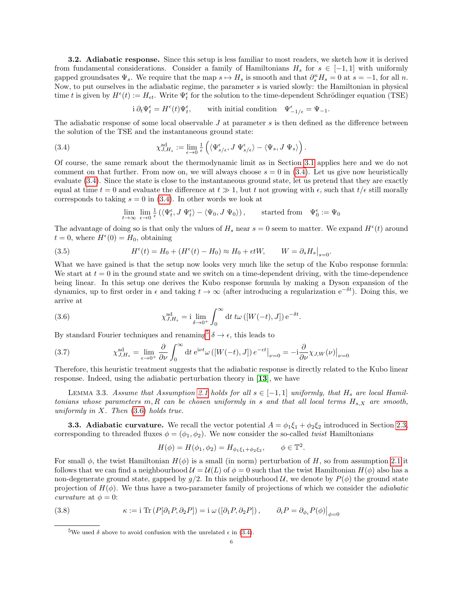<span id="page-5-4"></span>3.2. Adiabatic response. Since this setup is less familiar to most readers, we sketch how it is derived from fundamental considerations. Consider a family of Hamiltonians  $H_s$  for  $s \in [-1,1]$  with uniformly gapped groundsates  $\Psi_s$ . We require that the map  $s \mapsto H_s$  is smooth and that  $\partial_s^n H_s = 0$  at  $s = -1$ , for all n. Now, to put ourselves in the adiabatic regime, the parameter s is varied slowly: the Hamiltonian in physical time t is given by  $H^{\epsilon}(t) := H_{\epsilon t}$ . Write  $\Psi_t^{\epsilon}$  for the solution to the time-dependent Schrödinger equation (TSE)

> <span id="page-5-0"></span>i  $\partial_t \Psi_t^{\epsilon} = H^{\epsilon}(t) \Psi_t^{\epsilon}$  $, \qquad$  with initial condition  $\Psi_{-1/\epsilon}^{\epsilon} = \Psi_{-1}.$

The adiabatic response of some local observable  $J$  at parameter  $s$  is then defined as the difference between the solution of the TSE and the instantaneous ground state:

(3.4) 
$$
\chi_{J,H_s}^{\text{ad}} := \lim_{\epsilon \to 0} \frac{1}{\epsilon} \left( \langle \Psi_{s/\epsilon}^{\epsilon}, J \Psi_{s/\epsilon}^{\epsilon} \rangle - \langle \Psi_s, J \Psi_s \rangle \right).
$$

Of course, the same remark about the thermodynamic limit as in Section [3.1](#page-4-4) applies here and we do not comment on that further. From now on, we will always choose  $s = 0$  in [\(3.4\)](#page-5-0). Let us give now heuristically evaluate [\(3.4\)](#page-5-0). Since the state is close to the instantaneous ground state, let us pretend that they are exactly equal at time  $t = 0$  and evaluate the difference at  $t \gg 1$ , but t not growing with  $\epsilon$ , such that  $t/\epsilon$  still morally corresponds to taking  $s = 0$  in [\(3.4\)](#page-5-0). In other words we look at

$$
\lim_{t \to \infty} \lim_{\epsilon \to 0} \frac{1}{\epsilon} \left( \langle \Psi_t^{\epsilon}, J \Psi_t^{\epsilon} \rangle - \langle \Psi_0, J \Psi_0 \rangle \right), \qquad \text{started from} \quad \Psi_0^{\epsilon} := \Psi_0
$$

The advantage of doing so is that only the values of  $H_s$  near  $s = 0$  seem to matter. We expand  $H^{\epsilon}(t)$  around  $t = 0$ , where  $H^{\epsilon}(0) = H_0$ , obtaining

(3.5) 
$$
H^{\epsilon}(t) = H_0 + (H^{\epsilon}(t) - H_0) \approx H_0 + \epsilon t W, \qquad W = \partial_s H_s \big|_{s=0}.
$$

What we have gained is that the setup now looks very much like the setup of the Kubo response formula: We start at  $t = 0$  in the ground state and we switch on a time-dependent driving, with the time-dependence being linear. In this setup one derives the Kubo response formula by making a Dyson expansion of the dynamics, up to first order in  $\epsilon$  and taking  $t \to \infty$  (after introducing a regularization  $e^{-\delta t}$ ). Doing this, we arrive at

<span id="page-5-2"></span>(3.6) 
$$
\chi_{J,H_s}^{\text{ad}} = \mathbf{i} \lim_{\delta \to 0^+} \int_0^\infty dt \, t\omega \left( [W(-t),J] \right) e^{-\delta t}.
$$

By standard Fourier techniques and renaming<sup>[5](#page-5-1)</sup>  $\delta \to \epsilon$ , this leads to

(3.7) 
$$
\chi_{J,H_s}^{\text{ad}} = \lim_{\epsilon \to 0^+} \frac{\partial}{\partial \nu} \int_0^\infty dt \ e^{i\nu t} \omega \left( \left[ W(-t), J \right] \right) e^{-\epsilon t} \big|_{\nu=0} = -i \frac{\partial}{\partial \nu} \chi_{J,W}(\nu) \big|_{\nu=0}
$$

Therefore, this heuristic treatment suggests that the adiabatic response is directly related to the Kubo linear response. Indeed, using the adiabatic perturbation theory in [[13](#page-14-0)], we have

<span id="page-5-5"></span>LEMMA 3.3. Assume that Assumption [2.1](#page-1-2) holds for all  $s \in [-1,1]$  uniformly, that  $H_s$  are local Hamiltonians whose parameters m, R can be chosen uniformly in s and that all local terms  $H_{s,X}$  are smooth, uniformly in  $X$ . Then  $(3.6)$  holds true.

<span id="page-5-3"></span>**3.3. Adiabatic curvature.** We recall the vector potential  $A = \phi_1 \xi_1 + \phi_2 \xi_2$  introduced in Section [2.3,](#page-2-0) corresponding to threaded fluxes  $\phi = (\phi_1, \phi_2)$ . We now consider the so-called *twist* Hamiltonians

$$
H(\phi) = H(\phi_1, \phi_2) = H_{\phi_1 \xi_1 + \phi_2 \xi_2}, \qquad \phi \in \mathbb{T}^2.
$$

For small  $\phi$ , the twist Hamiltonian  $H(\phi)$  is a small (in norm) perturbation of H, so from assumption [2.1](#page-1-2) it follows that we can find a neighbourhood  $\mathcal{U} = \mathcal{U}(L)$  of  $\phi = 0$  such that the twist Hamiltonian  $H(\phi)$  also has a non-degenerate ground state, gapped by  $q/2$ . In this neighbourhood U, we denote by  $P(\phi)$  the ground state projection of  $H(\phi)$ . We thus have a two-parameter family of projections of which we consider the *adiabatic* curvature at  $\phi = 0$ :

(3.8) 
$$
\kappa := \text{i Tr} \left( P[\partial_1 P, \partial_2 P] \right) = \text{i } \omega \left( [\partial_1 P, \partial_2 P] \right), \qquad \partial_i P = \partial_{\phi_i} P(\phi) \big|_{\phi = 0}
$$

<span id="page-5-1"></span><sup>&</sup>lt;sup>5</sup>We used  $\delta$  above to avoid confusion with the unrelated  $\epsilon$  in [\(3.4\)](#page-5-0).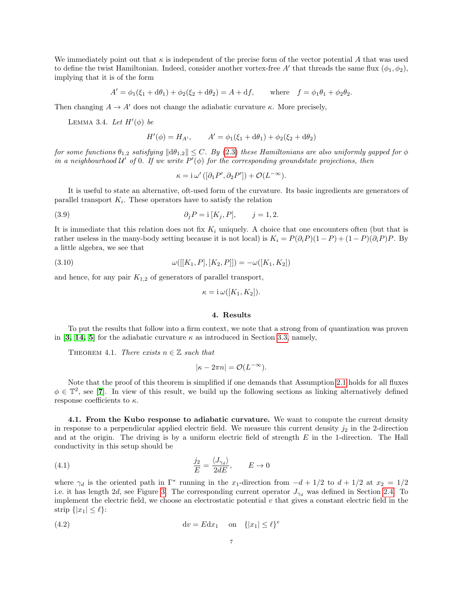We immediately point out that  $\kappa$  is independent of the precise form of the vector potential A that was used to define the twist Hamiltonian. Indeed, consider another vortex-free A' that threads the same flux  $(\phi_1, \phi_2)$ , implying that it is of the form

$$
A' = \phi_1(\xi_1 + d\theta_1) + \phi_2(\xi_2 + d\theta_2) = A + df, \quad \text{where} \quad f = \phi_1 \theta_1 + \phi_2 \theta_2.
$$

<span id="page-6-3"></span>Then changing  $A \to A'$  does not change the adiabatic curvature  $\kappa$ . More precisely,

LEMMA 3.4. Let  $H'(\phi)$  be

$$
H'(\phi) = H_{A'}, \qquad A' = \phi_1(\xi_1 + d\theta_1) + \phi_2(\xi_2 + d\theta_2)
$$

for some functions  $\theta_{1,2}$  satisfying  $\|\mathrm{d}\theta_{1,2}\| \leq C$ . By [\(2.3\)](#page-2-1) these Hamiltonians are also uniformly gapped for  $\phi$ in a neighbourhood  $\mathcal{U}'$  of 0. If we write  $P'(\phi)$  for the corresponding groundstate projections, then

<span id="page-6-2"></span>
$$
\kappa = i \omega' ([\partial_1 P', \partial_2 P']) + \mathcal{O}(L^{-\infty}).
$$

It is useful to state an alternative, oft-used form of the curvature. Its basic ingredients are generators of parallel transport  $K_i$ . These operators have to satisfy the relation

(3.9) 
$$
\partial_j P = i [K_j, P], \quad j = 1, 2.
$$

It is immediate that this relation does not fix  $K_i$  uniquely. A choice that one encounters often (but that is rather useless in the many-body setting because it is not local) is  $K_i = P(\partial_i P)(1 - P) + (1 - P)(\partial_i P)P$ . By a little algebra, we see that

(3.10) 
$$
\omega([[K_1, P], [K_2, P]]) = -\omega([K_1, K_2])
$$

and hence, for any pair  $K_{1,2}$  of generators of parallel transport,

<span id="page-6-4"></span>
$$
\kappa = \mathrm{i} \,\omega([K_1, K_2])
$$

## 4. Results

To put the results that follow into a firm context, we note that a strong from of quantization was proven in [[3,](#page-13-2) [14,](#page-14-1) [5](#page-13-4)] for the adiabatic curvature  $\kappa$  as introduced in Section [3.3,](#page-5-3) namely,

<span id="page-6-0"></span>THEOREM 4.1. There exists  $n \in \mathbb{Z}$  such that

<span id="page-6-1"></span>
$$
|\kappa - 2\pi n| = \mathcal{O}(L^{-\infty}).
$$

Note that the proof of this theorem is simplified if one demands that Assumption [2.1](#page-1-2) holds for all fluxes  $\phi \in \mathbb{T}^2$ , see [[7](#page-13-6)]. In view of this result, we build up the following sections as linking alternatively defined response coefficients to  $\kappa$ .

4.1. From the Kubo response to adiabatic curvature. We want to compute the current density in response to a perpendicular applied electric field. We measure this current density  $j_2$  in the 2-direction and at the origin. The driving is by a uniform electric field of strength  $E$  in the 1-direction. The Hall conductivity in this setup should be

(4.1) 
$$
\frac{j_2}{E} = \frac{\langle J_{\gamma_d} \rangle}{2dE}, \qquad E \to 0
$$

where  $\gamma_d$  is the oriented path in  $\Gamma^*$  running in the x<sub>1</sub>-direction from  $-d+1/2$  to  $d+1/2$  at  $x_2=1/2$ i.e. it has length 2d, see Figure [3.](#page-7-0) The corresponding current operator  $J_{\gamma_d}$  was defined in Section [2.4.](#page-3-3) To implement the electric field, we choose an electrostatic potential  $v$  that gives a constant electric field in the strip  $\{|x_1| \leq \ell\}$ :

$$
(4.2) \t\t dv = E dx_1 \t on \t {|x_1| \leq \ell}^e
$$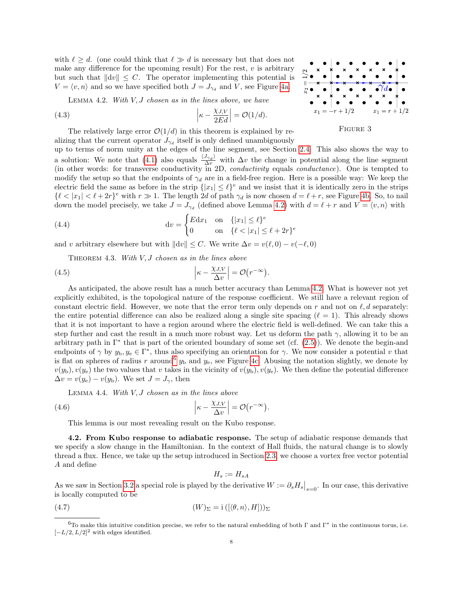with  $\ell \geq d$ . (one could think that  $\ell \gg d$  is necessary but that does not make any difference for the upcoming result) For the rest,  $v$  is arbitrary but such that  $||dv|| \leq C$ . The operator implementing this potential is  $V = \langle v, n \rangle$  and so we have specified both  $J = J_{\gamma_d}$  and V, see Figure [4a.](#page-8-1)

LEMMA 4.2. With  $V, J$  chosen as in the lines above, we have

<span id="page-7-1"></span>(4.3) 
$$
\left|\kappa - \frac{\chi_{J,V}}{2Ed}\right| = \mathcal{O}(1/d).
$$

The relatively large error  $\mathcal{O}(1/d)$  in this theorem is explained by re-

alizing that the current operator  $J_{\gamma_d}$  itself is only defined unambiguously up to terms of norm unity at the edges of the line segment, see Section [2.4.](#page-3-3) This also shows the way to a solution: We note that [\(4.1\)](#page-6-1) also equals  $\frac{\langle J_{\gamma_d} \rangle}{\Delta v}$  with  $\Delta v$  the change in potential along the line segment (in other words: for transverse conductivity in 2D, conductivity equals conductance). One is tempted to modify the setup so that the endpoints of  $\gamma_d$  are in a field-free region. Here is a possible way: We keep the electric field the same as before in the strip  $\{|x_1| \leq \ell\}^e$  and we insist that it is identically zero in the strips  $\{\ell < |x_1| < \ell + 2r\}^e$  with  $r \gg 1$ . The length 2d of path  $\gamma_d$  is now chosen  $d = \ell + r$ , see Figure [4b.](#page-8-1) So, to nail down the model precisely, we take  $J = J_{\gamma d}$  (defined above Lemma [4.2\)](#page-7-1) with  $d = \ell + r$  and  $V = \langle v, n \rangle$  with

(4.4) 
$$
dv = \begin{cases} Edx_1 & \text{on} \quad \{|x_1| \le \ell\}^e \\ 0 & \text{on} \quad \{\ell < |x_1| \le \ell + 2r\}^e \end{cases}
$$

<span id="page-7-3"></span>and v arbitrary elsewhere but with  $||dv|| \leq C$ . We write  $\Delta v = v(\ell, 0) - v(-\ell, 0)$ 

THEOREM 4.3. With  $V, J$  chosen as in the lines above

(4.5) 
$$
\left|\kappa - \frac{\chi_{J,V}}{\Delta v}\right| = \mathcal{O}(r^{-\infty}).
$$

As anticipated, the above result has a much better accuracy than Lemma [4.2.](#page-7-1) What is however not yet explicitly exhibited, is the topological nature of the response coefficient. We still have a relevant region of constant electric field. However, we note that the error term only depends on r and not on  $\ell, d$  separately: the entire potential difference can also be realized along a single site spacing  $(\ell = 1)$ . This already shows that it is not important to have a region around where the electric field is well-defined. We can take this a step further and cast the result in a much more robust way. Let us deform the path  $\gamma$ , allowing it to be an arbitrary path in  $\Gamma^*$  that is part of the oriented boundary of some set (cf. [\(2.5\)](#page-4-5)). We denote the begin-and endpoints of  $\gamma$  by  $y_{b}, y_{e} \in \Gamma^*$ , thus also specifying an orientation for  $\gamma$ . We now consider a potential v that is flat on spheres of radius r around<sup>[6](#page-7-2)</sup>  $y<sub>b</sub>$  and  $y<sub>e</sub>$ , see Figure [4c.](#page-8-1) Abusing the notation slightly, we denote by  $v(y_b)$ ,  $v(y_e)$  the two values that v takes in the vicinity of  $v(y_b)$ ,  $v(y_e)$ . We then define the potential difference  $\Delta v = v(y_e) - v(y_b)$ . We set  $J = J_{\gamma}$ , then

LEMMA 4.4. With  $V, J$  chosen as in the lines above

<span id="page-7-4"></span>(4.6) 
$$
\left|\kappa - \frac{\chi_{J,V}}{\Delta v}\right| = \mathcal{O}(r^{-\infty}).
$$

This lemma is our most revealing result on the Kubo response.

4.2. From Kubo response to adiabatic response. The setup of adiabatic response demands that we specify a slow change in the Hamiltonian. In the context of Hall fluids, the natural change is to slowly thread a flux. Hence, we take up the setup introduced in Section [2.3,](#page-2-0) we choose a vortex free vector potential A and define

<span id="page-7-5"></span>
$$
H_s:=H_{sA}
$$

As we saw in Section [3.2](#page-5-4) a special role is played by the derivative  $W := \partial_s H_s|_{s=0}$ . In our case, this derivative is locally computed to be

(4.7) 
$$
(W)_{\Sigma} = i ([\langle \theta, n \rangle, H])_{\Sigma}
$$

<span id="page-7-0"></span>

Figure 3

<span id="page-7-2"></span><sup>&</sup>lt;sup>6</sup>To make this intuitive condition precise, we refer to the natural embedding of both Γ and Γ<sup>\*</sup> in the continuous torus, i.e.  $[-L/2, L/2]^2$  with edges identified.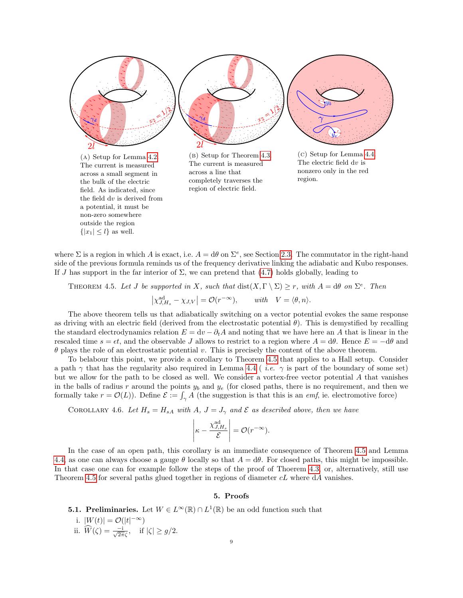<span id="page-8-1"></span>

where  $\Sigma$  is a region in which A is exact, i.e.  $A = d\theta$  on  $\Sigma^e$ , see Section [2.3.](#page-2-0) The commutator in the right-hand side of the previous formula reminds us of the frequency derivative linking the adiabatic and Kubo responses. If J has support in the far interior of  $\Sigma$ , we can pretend that [\(4.7\)](#page-7-5) holds globally, leading to

<span id="page-8-2"></span>THEOREM 4.5. Let J be supported in X, such that  $dist(X, \Gamma \setminus \Sigma) \geq r$ , with  $A = d\theta$  on  $\Sigma^e$ . Then

$$
\left|\chi_{J,H_s}^{\text{ad}} - \chi_{J,V}\right| = \mathcal{O}(r^{-\infty}), \quad \text{with} \quad V = \langle \theta, n \rangle.
$$

The above theorem tells us that adiabatically switching on a vector potential evokes the same response as driving with an electric field (derived from the electrostatic potential  $\theta$ ). This is demystified by recalling the standard electrodynamics relation  $E = dv - \partial_t A$  and noting that we have here an A that is linear in the rescaled time  $s = \epsilon t$ , and the observable J allows to restrict to a region where  $A = d\theta$ . Hence  $E = -d\theta$  and  $\theta$  plays the role of an electrostatic potential v. This is precisely the content of the above theorem.

To belabour this point, we provide a corollary to Theorem [4.5](#page-8-2) that applies to a Hall setup. Consider a path  $\gamma$  that has the regularity also required in Lemma [4.4](#page-7-4) (*i.e.*  $\gamma$  is part of the boundary of some set) but we allow for the path to be closed as well. We consider a vortex-free vector potential A that vanishes in the balls of radius r around the points  $y_b$  and  $y_e$  (for closed paths, there is no requirement, and then we formally take  $r = \mathcal{O}(L)$ ). Define  $\mathcal{E} := \int_{\gamma} A$  (the suggestion is that this is an *emf*, ie. electromotive force)

COROLLARY 4.6. Let  $H_s = H_{sA}$  with A,  $J = J_{\gamma}$  and  $\mathcal E$  as described above, then we have

$$
\left|\kappa - \frac{\chi_{J,H_s}^{\text{ad}}}{\mathcal{E}}\right| = \mathcal{O}(r^{-\infty}).
$$

In the case of an open path, this corollary is an immediate consequence of Theorem [4.5](#page-8-2) and Lemma [4.4,](#page-7-4) as one can always choose a gauge  $\theta$  locally so that  $A = d\theta$ . For closed paths, this might be impossible. In that case one can for example follow the steps of the proof of Thoerem [4.3,](#page-7-3) or, alternatively, still use Theorem [4.5](#page-8-2) for several paths glued together in regions of diameter cL where dA vanishes.

### 5. Proofs

<span id="page-8-0"></span>**5.1. Preliminaries.** Let  $W \in L^{\infty}(\mathbb{R}) \cap L^{1}(\mathbb{R})$  be an odd function such that

i. 
$$
|W(t)| = \mathcal{O}(|t|^{-\infty})
$$
  
ii.  $\widehat{W}(\zeta) = \frac{-i}{\sqrt{2\pi}\zeta}$ , if  $|\zeta| \ge g/2$ .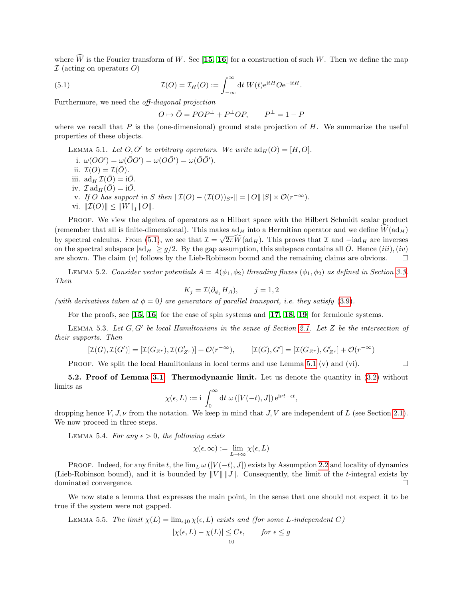where  $\widehat{W}$  is the Fourier transform of W. See [[15,](#page-14-2) [16](#page-14-3)] for a construction of such W. Then we define the map  $I$  (acting on operators O)

(5.1) 
$$
\mathcal{I}(O) = \mathcal{I}_H(O) := \int_{-\infty}^{\infty} dt W(t)e^{itH}Oe^{-itH}.
$$

Furthermore, we need the off-diagonal projection

<span id="page-9-0"></span>
$$
O \mapsto \overline{O} = POP^{\perp} + P^{\perp}OP, \qquad P^{\perp} = 1 - P
$$

where we recall that P is the (one-dimensional) ground state projection of  $H$ . We summarize the useful properties of these objects.

<span id="page-9-1"></span>LEMMA 5.1. Let  $O, O'$  be arbitrary operators. We write  $\text{ad}_H(O) = [H, O].$ i.  $\omega(OO') = \omega(\overline{O}O') = \omega(O\overline{O'}) = \omega(\overline{O}\overline{O'}).$ ii.  $\overline{\mathcal{I}(O)} = \mathcal{I}(\overline{O})$ . iii.  $\operatorname{ad}_H \mathcal{I}(\bar{O}) = i\bar{O}$ . iv.  $\mathcal{I} \text{ad}_H(\overline{O}) = i\overline{O}$ . v. If O has support in S then  $\|\mathcal{I}(O) - (\mathcal{I}(O))_{S^r}\| = \|O\| \, |S| \times \mathcal{O}(r^{-\infty}).$ vi.  $\|\mathcal{I}(O)\| \leq \|W\|_1 \|O\|.$ 

Proof. We view the algebra of operators as a Hilbert space with the Hilbert Schmidt scalar product (remember that all is finite-dimensional). This makes  $ad_H$  into a Hermitian operator and we define  $W(ad_H)$ by spectral calculus. From [\(5.1\)](#page-9-0), we see that  $\mathcal{I} = \sqrt{2\pi W(\text{ad}_H)}$ . This proves that  $\mathcal{I}$  and  $-\text{iad}_H$  are inverses on the spectral subspace  $|ad_H| \geq g/2$ . By the gap assumption, this subspace contains all  $\overline{O}$ . Hence  $(iii)$ ,  $(iv)$ are shown. The claim  $(v)$  follows by the Lieb-Robinson bound and the remaining claims are obvious.  $\square$ 

<span id="page-9-6"></span>LEMMA 5.2. Consider vector potentials  $A = A(\phi_1, \phi_2)$  threading fluxes  $(\phi_1, \phi_2)$  as defined in Section [3.3.](#page-5-3) Then

$$
K_j = \mathcal{I}(\partial_{\phi_j} H_A), \qquad j = 1, 2
$$

(with derivatives taken at  $\phi = 0$ ) are generators of parallel transport, i.e. they satisfy [\(3.9\)](#page-6-2).

For the proofs, see  $\left[15, 16\right]$  $\left[15, 16\right]$  $\left[15, 16\right]$  $\left[15, 16\right]$  for the case of spin systems and  $\left[17, 18, 19\right]$  $\left[17, 18, 19\right]$  $\left[17, 18, 19\right]$  $\left[17, 18, 19\right]$  $\left[17, 18, 19\right]$  for fermionic systems.

<span id="page-9-5"></span>LEMMA 5.3. Let  $G, G'$  be local Hamiltonians in the sense of Section [2.1.](#page-0-0) Let  $Z$  be the intersection of their supports. Then

$$
[\mathcal{I}(G),\mathcal{I}(G')] = [\mathcal{I}(G_{Z^r}),\mathcal{I}(G'_{Z^r})] + \mathcal{O}(r^{-\infty}), \qquad [\mathcal{I}(G),G'] = [\mathcal{I}(G_{Z^r}),G'_{Z^r}] + \mathcal{O}(r^{-\infty})
$$

**PROOF.** We split the local Hamiltonians in local terms and use Lemma [5.1](#page-9-1) (v) and (vi).

<span id="page-9-4"></span>5.2. Proof of Lemma [3.1:](#page-4-0) Thermodynamic limit. Let us denote the quantity in  $(3.2)$  without limits as

$$
\chi(\epsilon, L) := \mathrm{i} \, \int_0^\infty \mathrm{d} t \; \omega\left( [V(-t), J] \right) \mathrm{e}^{\mathrm{i} \nu t - \epsilon t},
$$

dropping hence  $V, J, \nu$  from the notation. We keep in mind that  $J, V$  are independent of L (see Section [2.1\)](#page-0-0). We now proceed in three steps.

<span id="page-9-2"></span>LEMMA 5.4. For any  $\epsilon > 0$ , the following exists

$$
\chi(\epsilon,\infty):=\lim_{L\to\infty}\chi(\epsilon,L)
$$

PROOF. Indeed, for any finite t, the  $\lim_{L} \omega([V(-t), J])$  exists by Assumption [2.2](#page-1-0) and locality of dynamics (Lieb-Robinson bound), and it is bounded by  $||V|| ||J||$ . Consequently, the limit of the t-integral exists by dominated convergence.

We now state a lemma that expresses the main point, in the sense that one should not expect it to be true if the system were not gapped.

<span id="page-9-3"></span>LEMMA 5.5. The limit 
$$
\chi(L) = \lim_{\epsilon \downarrow 0} \chi(\epsilon, L)
$$
 exists and (for some L-independent C)

$$
|\chi(\epsilon, L) - \chi(L)| \le C\epsilon, \quad \text{for } \epsilon \le g
$$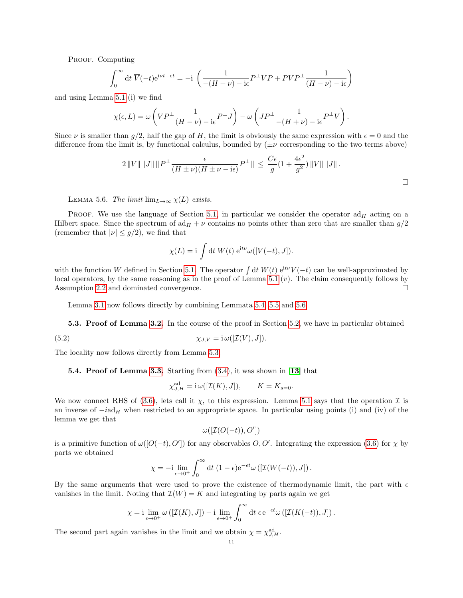PROOF. Computing

$$
\int_0^\infty dt \, \overline{V}(-t) e^{i\nu t - \epsilon t} = -i \left( \frac{1}{-(H+\nu) - i\epsilon} P^\perp VP + PVP^\perp \frac{1}{(H-\nu) - i\epsilon} \right)
$$

and using Lemma [5.1](#page-9-1) (i) we find

$$
\chi(\epsilon,L) = \omega \left( VP^{\perp} \frac{1}{(H-\nu) - i\epsilon} P^{\perp} J \right) - \omega \left( JP^{\perp} \frac{1}{-(H+\nu) - i\epsilon} P^{\perp} V \right).
$$

Since  $\nu$  is smaller than  $g/2$ , half the gap of H, the limit is obviously the same expression with  $\epsilon = 0$  and the difference from the limit is, by functional calculus, bounded by  $(\pm \nu$  corresponding to the two terms above)

$$
2\|V\| \|J\| \|P^{\perp} \frac{\epsilon}{(H \pm \nu)(H \pm \nu - i\epsilon)} P^{\perp} \| \leq \frac{C\epsilon}{g} (1 + \frac{4\epsilon^2}{g^2}) \|V\| \|J\|.
$$

<span id="page-10-0"></span>LEMMA 5.6. The limit  $\lim_{L\to\infty} \chi(L)$  exists.

PROOF. We use the language of Section [5.1,](#page-8-0) in particular we consider the operator  $ad_H$  acting on a Hilbert space. Since the spectrum of  $ad_H + \nu$  contains no points other than zero that are smaller than  $g/2$ (remember that  $|\nu| \leq g/2$ ), we find that

$$
\chi(L) = i \int dt W(t) e^{it\nu} \omega([V(-t), J]).
$$

with the function W defined in Section [5.1.](#page-8-0) The operator  $\int dt W(t) e^{it\nu}V(-t)$  can be well-approximated by local operators, by the same reasoning as in the proof of Lemma [5.1](#page-9-1)  $(v)$ . The claim consequently follows by Assumption [2.2](#page-1-0) and dominated convergence.

Lemma [3.1](#page-4-0) now follows directly by combining Lemmata [5.4,](#page-9-2) [5.5](#page-9-3) and [5.6.](#page-10-0)

5.3. Proof of Lemma [3.2.](#page-4-7) In the course of the proof in Section [5.2,](#page-9-4) we have in particular obtained

(5.2) 
$$
\chi_{J,V} = i \omega([{\mathcal I}(V),J]).
$$

The locality now follows directly from Lemma [5.3.](#page-9-5)

<span id="page-10-1"></span>**5.4. Proof of Lemma [3.3.](#page-5-5)** Starting from  $(3.4)$ , it was shown in [[13](#page-14-0)] that

$$
\chi_{J,H}^{\text{ad}} = \mathrm{i} \,\omega([\mathcal{I}(K), J]), \qquad K = K_{s=0}.
$$

We now connect RHS of [\(3.6\)](#page-5-2), lets call it  $\chi$ , to this expression. Lemma [5.1](#page-9-1) says that the operation  $\mathcal I$  is an inverse of  $-i\alpha H$  when restricted to an appropriate space. In particular using points (i) and (iv) of the lemma we get that

$$
\omega([{\cal I}(O(-t)),O'])
$$

is a primitive function of  $\omega([O(-t), O'])$  for any observables  $O, O'$ . Integrating the expression [\(3.6\)](#page-5-2) for  $\chi$  by parts we obtained

$$
\chi = -\mathrm{i} \lim_{\epsilon \to 0^+} \int_0^\infty \mathrm{d}t \, \left(1 - \epsilon\right) e^{-\epsilon t} \omega \left( \left[ \mathcal{I}(W(-t)), J \right] \right).
$$

By the same arguments that were used to prove the existence of thermodynamic limit, the part with  $\epsilon$ vanishes in the limit. Noting that  $\mathcal{I}(W) = K$  and integrating by parts again we get

$$
\chi = \mathop{\rm i\hskip -0.2em} \lim_{\epsilon \to 0^+} \omega\left([{\mathcal I}(K),J]\right) - \mathop{\rm i\hskip -0.2em} \lim_{\epsilon \to 0^+} \int_0^\infty {\rm d}t\ \epsilon\, \mathrm{e}^{-\epsilon t} \omega\left([{\mathcal I}(K(-t)),J]\right).
$$

The second part again vanishes in the limit and we obtain  $\chi = \chi_{J,H}^{\text{ad}}$ .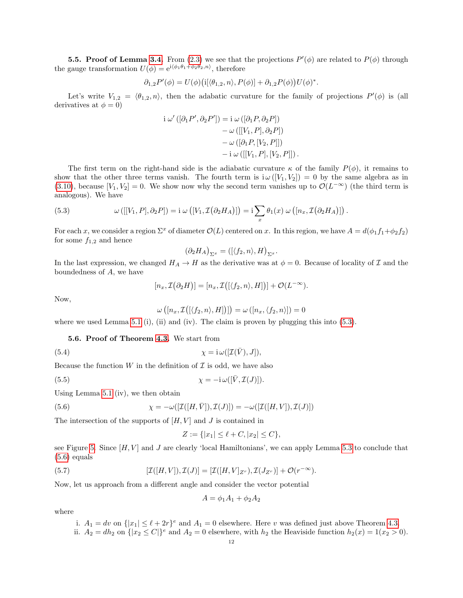**5.5. Proof of Lemma [3.4.](#page-6-3)** From [\(2.3\)](#page-2-1) we see that the projections  $P'(\phi)$  are related to  $P(\phi)$  through the gauge transformation  $U(\phi) = e^{i(\phi_1 \theta_1 + \phi_2 \theta_2, n)}$ , therefore

$$
\partial_{1,2}P'(\phi) = U(\phi)\big(\mathrm{i}[\langle \theta_{1,2}, n \rangle, P(\phi)] + \partial_{1,2}P(\phi)\big)U(\phi)^*.
$$

Let's write  $V_{1,2} = \langle \theta_{1,2}, n \rangle$ , then the adabatic curvature for the family of projections  $P'(\phi)$  is (all derivatives at  $\phi = 0$ )

$$
i \omega'([\partial_1 P', \partial_2 P']) = i \omega ([\partial_1 P, \partial_2 P])
$$
  

$$
- \omega([[V_1, P], \partial_2 P])
$$
  

$$
- \omega ([\partial_1 P, [V_2, P]])
$$
  

$$
- i \omega([[V_1, P], [V_2, P]]) .
$$

The first term on the right-hand side is the adiabatic curvature  $\kappa$  of the family  $P(\phi)$ , it remains to show that the other three terms vanish. The fourth term is  $i\omega([V_1, V_2]) = 0$  by the same algebra as in [\(3.10\)](#page-6-4), because  $[V_1, V_2] = 0$ . We show now why the second term vanishes up to  $\mathcal{O}(L^{-\infty})$  (the third term is analogous). We have

<span id="page-11-0"></span>(5.3) 
$$
\omega([[V_1, P], \partial_2 P]) = i \omega \left( [V_1, \mathcal{I}(\partial_2 H_A)] \right) = i \sum_x \theta_1(x) \omega \left( [n_x, \mathcal{I}(\partial_2 H_A)] \right).
$$

For each x, we consider a region  $\Sigma^x$  of diameter  $\mathcal{O}(L)$  centered on x. In this region, we have  $A = d(\phi_1 f_1 + \phi_2 f_2)$ for some  $f_{1,2}$  and hence

$$
(\partial_2 H_A)_{\Sigma^x} = ([\langle f_2, n \rangle, H)_{\Sigma^x}.
$$

In the last expression, we changed  $H_A \to H$  as the derivative was at  $\phi = 0$ . Because of locality of  $\mathcal I$  and the boundedness of A, we have

$$
[n_x, \mathcal{I}(\partial_2 H)] = [n_x, \mathcal{I}([\langle f_2, n \rangle, H])] + \mathcal{O}(L^{-\infty}).
$$

Now,

$$
\omega([n_x, \mathcal{I}([\langle f_2, n \rangle, H])]) = \omega([n_x, \langle f_2, n \rangle]) = 0
$$

where we used Lemma [5.1](#page-9-1) (i), (ii) and (iv). The claim is proven by plugging this into  $(5.3)$ .

5.6. Proof of Theorem [4.3.](#page-7-3) We start from

(5.4) 
$$
\chi = i \omega([\mathcal{I}(\bar{V}), J]),
$$

Because the function  $W$  in the definition of  $\mathcal I$  is odd, we have also

(5.5) 
$$
\chi = -\mathrm{i}\,\omega([\bar{V}, \mathcal{I}(J)]).
$$

Using Lemma [5.1](#page-9-1) (iv), we then obtain

(5.6) 
$$
\chi = -\omega([\mathcal{I}([H,\bar{V}]),\mathcal{I}(J)]) = -\omega([\mathcal{I}([H,V]),\mathcal{I}(J)])
$$

The intersection of the supports of  $[H, V]$  and J is contained in

<span id="page-11-2"></span><span id="page-11-1"></span>
$$
Z := \{ |x_1| \le \ell + C, |x_2| \le C \},\
$$

see Figure [5.](#page-12-0) Since  $[H, V]$  and J are clearly 'local Hamiltonians', we can apply Lemma [5.3](#page-9-5) to conclude that  $(5.6)$  equals

(5.7) 
$$
[\mathcal{I}([H,V]),\mathcal{I}(J)]=[\mathcal{I}([H,V]_{Z^r}),\mathcal{I}(J_{Z^r})]+\mathcal{O}(r^{-\infty}).
$$

Now, let us approach from a different angle and consider the vector potential

$$
A = \phi_1 A_1 + \phi_2 A_2
$$

where

i. 
$$
A_1 = dv
$$
 on  $\{|x_1| \le \ell + 2r\}^e$  and  $A_1 = 0$  elsewhere. Here v was defined just above Theorem 4.3.

ii.  $A_2 = dh_2$  on  $\{|x_2 \leq C|\}^e$  and  $A_2 = 0$  elsewhere, with  $h_2$  the Heaviside function  $h_2(x) = 1(x_2 > 0)$ .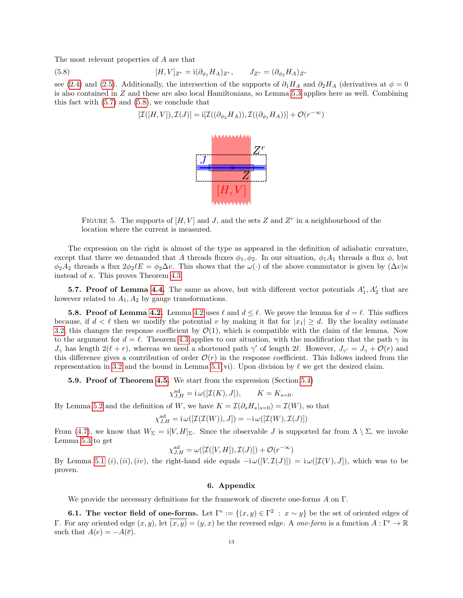The most relevant properties of A are that

(5.8) 
$$
[H,V]_{Z^r} = \mathrm{i}(\partial_{\phi_1} H_A)_{Z^r}, \qquad J_{Z^r} = (\partial_{\phi_2} H_A)_{Z^r}
$$

<span id="page-12-0"></span>see [\(2.4\)](#page-2-2) and [\(2.5\)](#page-4-5). Additionally, the intersection of the supports of  $\partial_1 H_A$  and  $\partial_2 H_A$  (derivatives at  $\phi = 0$ is also contained in Z and these are also local Hamiltonians, so Lemma [5.3](#page-9-5) applies here as well. Combining this fact with [\(5.7\)](#page-11-2) and [\(5.8\)](#page-12-1), we conclude that

<span id="page-12-1"></span>
$$
[\mathcal{I}([H,V]),\mathcal{I}(J)]=\mathrm{i}[\mathcal{I}((\partial_{\phi_2}H_A)),\mathcal{I}((\partial_{\phi_1}H_A))]+\mathcal{O}(r^{-\infty})
$$



FIGURE 5. The supports of  $[H, V]$  and J, and the sets Z and  $Z<sup>r</sup>$  in a neighbourhood of the location where the current is measured.

The expression on the right is almost of the type as appeared in the definition of adiabatic curvature, except that there we demanded that A threads fluxes  $\phi_1, \phi_2$ . In our situation,  $\phi_1 A_1$  threads a flux  $\phi$ , but  $\phi_2A_2$  threads a flux  $2\phi_2\ell E = \phi_2\Delta v$ . This shows that the  $\omega(\cdot)$  of the above commutator is given by  $(\Delta v)\kappa$ instead of  $\kappa$ . This proves Theorem [4.3.](#page-7-3)

**5.7. Proof of Lemma [4.4.](#page-7-4)** The same as above, but with different vector potentials  $A'_1, A'_2$  that are however related to  $A_1, A_2$  by gauge transformations.

**5.8. Proof of Lemma [4.2.](#page-7-1)** Lemma [4.2](#page-7-1) uses  $\ell$  and  $d \leq \ell$ . We prove the lemma for  $d = \ell$ . This suffices because, if  $d < \ell$  then we modify the potential v by making it flat for  $|x_1| \geq d$ . By the locality estimate [3.2,](#page-4-7) this changes the response coefficient by  $\mathcal{O}(1)$ , which is compatible with the claim of the lemma. Now to the argument for  $d = \ell$ . Theorem [4.3](#page-7-3) applies to our situation, with the modification that the path  $\gamma$  in  $J_{\gamma}$  has length  $2(\ell + r)$ , whereas we need a shortened path  $\gamma'$  of length 2 $\ell$ . However,  $J_{\gamma'} = J_{\gamma} + \mathcal{O}(r)$  and this difference gives a contribution of order  $\mathcal{O}(r)$  in the response coefficient. This follows indeed from the representation in [3.2](#page-4-7) and the bound in Lemma [5.1\(](#page-9-1)vi). Upon division by  $\ell$  we get the desired claim.

5.9. Proof of Theorem [4.5.](#page-8-2) We start from the expression (Section [5.4\)](#page-10-1)

$$
\chi_{J,H}^{\text{ad}} = \mathbf{i} \,\omega([\mathcal{I}(K), J]), \qquad K = K_{s=0}.
$$

By Lemma [5.2](#page-9-6) and the definition of W, we have  $K = \mathcal{I}(\partial_s H_s|_{s=0}) = \mathcal{I}(W)$ , so that

$$
\chi_{J,H}^{\mathrm{ad}} = \mathrm{i} \, \omega([\mathcal{I}(\mathcal{I}(W)),J]) = -\mathrm{i} \, \omega([\mathcal{I}(W),\mathcal{I}(J)])
$$

From [\(4.7\)](#page-7-5), we know that  $W_{\Sigma} = i[V, H]_{\Sigma}$ . Since the observable J is supported far from  $\Lambda \setminus \Sigma$ , we invoke Lemma [5.3](#page-9-5) to get

$$
\chi_{J,H}^{\mathrm{ad}} = \omega([\mathcal{I}([V,H]),\mathcal{I}(J)]) + \mathcal{O}(r^{-\infty})
$$

By Lemma [5.1](#page-9-1) (i),(ii),(iv), the right-hand side equals  $-i\omega([V, \mathcal{I}(J)]) = i\omega([\mathcal{I}(V), J])$ , which was to be proven.

# 6. Appendix

We provide the necessary definitions for the framework of discrete one-forms A on Γ.

**6.1.** The vector field of one-forms. Let  $\Gamma^e := \{(x, y) \in \Gamma^2 : x \sim y\}$  be the set of oriented edges of Γ. For any oriented edge  $(x, y)$ , let  $\overline{(x, y)} = (y, x)$  be the reversed edge. A *one-form* is a function  $A : \Gamma^e \to \mathbb{R}$ such that  $A(e) = -A(\overline{e}).$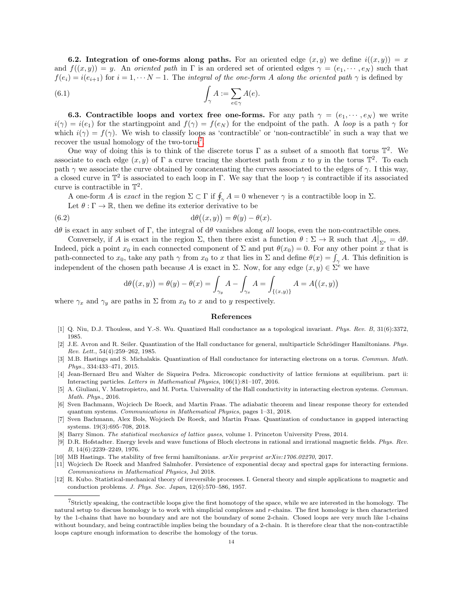**6.2.** Integration of one-forms along paths. For an oriented edge  $(x, y)$  we define  $i((x, y)) = x$ and  $f((x, y)) = y$ . An oriented path in Γ is an ordered set of oriented edges  $\gamma = (e_1, \dots, e_N)$  such that  $f(e_i) = i(e_{i+1})$  for  $i = 1, \dots N-1$ . The integral of the one-form A along the oriented path  $\gamma$  is defined by

(6.1) 
$$
\int_{\gamma} A := \sum_{e \in \gamma} A(e).
$$

6.3. Contractible loops and vortex free one-forms. For any path  $\gamma = (e_1, \dots, e_N)$  we write  $i(\gamma) = i(e_1)$  for the startingpoint and  $f(\gamma) = f(e_N)$  for the endpoint of the path. A loop is a path  $\gamma$  for which  $i(\gamma) = f(\gamma)$ . We wish to classify loops as 'contractible' or 'non-contractible' in such a way that we recover the usual homology of the two-torus<sup>[7](#page-13-12)</sup>.

One way of doing this is to think of the discrete torus  $\Gamma$  as a subset of a smooth flat torus  $\mathbb{T}^2$ . We associate to each edge  $(x, y)$  of  $\Gamma$  a curve tracing the shortest path from x to y in the torus  $\mathbb{T}^2$ . To each path  $\gamma$  we associate the curve obtained by concatenating the curves associated to the edges of  $\gamma$ . I this way, a closed curve in  $\mathbb{T}^2$  is associated to each loop in  $\Gamma$ . We say that the loop  $\gamma$  is contractible if its associated curve is contractible in  $\mathbb{T}^2$ .

A one-form A is exact in the region  $\Sigma \subset \Gamma$  if  $\oint_{\gamma} A = 0$  whenever  $\gamma$  is a contractible loop in  $\Sigma$ .

Let  $\theta : \Gamma \to \mathbb{R}$ , then we define its exterior derivative to be

(6.2) 
$$
d\theta((x,y)) = \theta(y) - \theta(x).
$$

 $dθ$  is exact in any subset of Γ, the integral of  $dθ$  vanishes along all loops, even the non-contractible ones.

Conversely, if A is exact in the region  $\Sigma$ , then there exist a function  $\theta : \Sigma \to \mathbb{R}$  such that  $A|_{\Sigma^e} = d\theta$ . Indeed, pick a point  $x_0$  in each connected component of  $\Sigma$  and put  $\theta(x_0) = 0$ . For any other point x that is path-connected to  $x_0$ , take any path  $\gamma$  from  $x_0$  to x that lies in  $\Sigma$  and define  $\theta(x) = \int_{\gamma} A$ . This definition is independent of the chosen path because A is exact in  $\Sigma$ . Now, for any edge  $(x, y) \in \Sigma^e$  we have

$$
d\theta((x,y)) = \theta(y) - \theta(x) = \int_{\gamma_y} A - \int_{\gamma_x} A = \int_{\{(x,y)\}} A = A((x,y))
$$

where  $\gamma_x$  and  $\gamma_y$  are paths in  $\Sigma$  from  $x_0$  to x and to y respectively.

#### References

- <span id="page-13-0"></span>[1] Q. Niu, D.J. Thouless, and Y.-S. Wu. Quantized Hall conductance as a topological invariant. Phys. Rev. B, 31(6):3372, 1985.
- <span id="page-13-1"></span>[2] J.E. Avron and R. Seiler. Quantization of the Hall conductance for general, multiparticle Schrödinger Hamiltonians. Phys. Rev. Lett., 54(4):259–262, 1985.
- <span id="page-13-2"></span>[3] M.B. Hastings and S. Michalakis. Quantization of Hall conductance for interacting electrons on a torus. Commun. Math. Phys., 334:433–471, 2015.
- <span id="page-13-3"></span>[4] Jean-Bernard Bru and Walter de Siqueira Pedra. Microscopic conductivity of lattice fermions at equilibrium. part ii: Interacting particles. Letters in Mathematical Physics, 106(1):81–107, 2016.
- <span id="page-13-4"></span>[5] A. Giuliani, V. Mastropietro, and M. Porta. Universality of the Hall conductivity in interacting electron systems. Commun. Math. Phys., 2016.
- <span id="page-13-5"></span>[6] Sven Bachmann, Wojciech De Roeck, and Martin Fraas. The adiabatic theorem and linear response theory for extended quantum systems. Communications in Mathematical Physics, pages 1–31, 2018.
- <span id="page-13-6"></span>[7] Sven Bachmann, Alex Bols, Wojciech De Roeck, and Martin Fraas. Quantization of conductance in gapped interacting systems. 19(3):695–708, 2018.
- <span id="page-13-7"></span>[8] Barry Simon. The statistical mechanics of lattice gases, volume 1. Princeton University Press, 2014.
- <span id="page-13-8"></span>[9] D.R. Hofstadter. Energy levels and wave functions of Bloch electrons in rational and irrational magnetic fields. Phys. Rev. B, 14(6):2239–2249, 1976.
- <span id="page-13-9"></span>[10] MB Hastings. The stability of free fermi hamiltonians. arXiv preprint arXiv:1706.02270, 2017.
- <span id="page-13-10"></span>[11] Wojciech De Roeck and Manfred Salmhofer. Persistence of exponential decay and spectral gaps for interacting fermions. Communications in Mathematical Physics, Jul 2018.
- <span id="page-13-11"></span>[12] R. Kubo. Statistical-mechanical theory of irreversible processes. I. General theory and simple applications to magnetic and conduction problems. J. Phys. Soc. Japan, 12(6):570–586, 1957.

<span id="page-13-12"></span><sup>7</sup>Strictly speaking, the contractible loops give the first homotopy of the space, while we are interested in the homology. The natural setup to discuss homology is to work with simplicial complexes and r-chains. The first homology is then characterized by the 1-chains that have no boundary and are not the boundary of some 2-chain. Closed loops are very much like 1-chains without boundary, and being contractible implies being the boundary of a 2-chain. It is therefore clear that the non-contractible loops capture enough information to describe the homology of the torus.